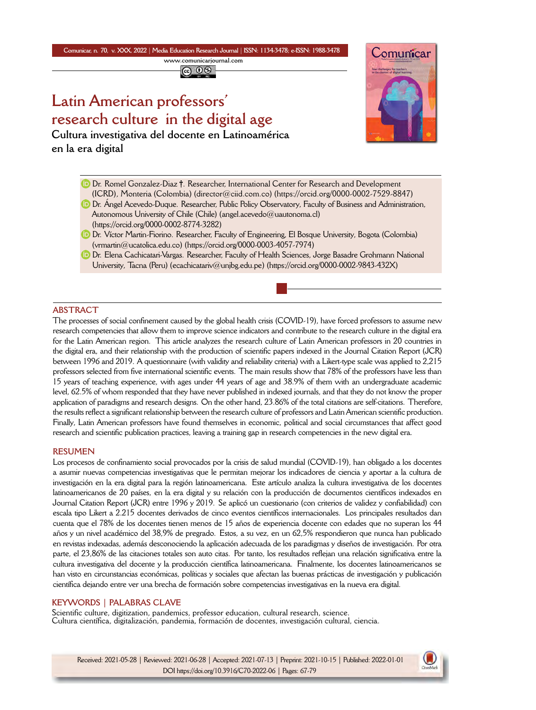**Comunicar, n. 70, v. XXX, 2022** *|* **Media Education Research Journal** *|* **ISSN: 1134-3478; e-ISSN: 1988-3478 <www.comunicarjournal.com>**

@ 0ම

# **Latin American professors' research culture in the digital age**

**Cultura investigativa del docente en Latinoamérica en la era digital**



- Dr. Romel Gonzalez-Diaz †. Researcher, International Center for Research and Development
- (ICRD), Monteria (Colombia) ([director@ciid.com.co\)](mailto:director@ciid.com.co) (<https://orcid.org/0000-0002-7529-8847>)
- **D** Dr. Ángel Acevedo-Duque. Researcher, Public Policy Observatory, Faculty of Business and Administration, Autonomous University of Chile (Chile) ([angel.acevedo@uautonoma.cl\)](mailto:angel.acevedo@uautonoma.cl) [\(https://orcid.org/0000-0002-8774-3282\)](https://orcid.org/0000-0002-8774-3282)
- Dr. Víctor Martin-Fiorino. Researcher, Faculty of Engineering, El Bosque University, Bogota (Colombia) [\(vrmartin@ucatolica.edu.co](mailto:vrmartin@ucatolica.edu.co)) ([https://orcid.org/0000-0003-4057-7974\)](https://orcid.org/0000-0003-4057-7974)
- **D** Dr. Elena Cachicatari-Vargas. Researcher, Faculty of Health Sciences, Jorge Basadre Grohmann National University, Tacna (Peru) [\(ecachicatariv@unjbg.edu.pe](mailto:ecachicatariv@unjbg.edu.pe)) (<https://orcid.org/0000-0002-9843-432X>)

# **ABSTRACT**

The processes of social confinement caused by the global health crisis (COVID-19), have forced professors to assume new research competencies that allow them to improve science indicators and contribute to the research culture in the digital era for the Latin American region. This article analyzes the research culture of Latin American professors in 20 countries in the digital era, and their relationship with the production of scientific papers indexed in the Journal Citation Report (JCR) between 1996 and 2019. A questionnaire (with validity and reliability criteria) with a Likert-type scale was applied to 2,215 professors selected from five international scientific events. The main results show that 78% of the professors have less than 15 years of teaching experience, with ages under 44 years of age and 38.9% of them with an undergraduate academic level, 62.5% of whom responded that they have never published in indexed journals, and that they do not know the proper application of paradigms and research designs. On the other hand, 23.86% of the total citations are self-citations. Therefore, the results reflect a significant relationship between the research culture of professors and Latin American scientific production. Finally, Latin American professors have found themselves in economic, political and social circumstances that affect good research and scientific publication practices, leaving a training gap in research competencies in the new digital era.

## **RESUMEN**

Los procesos de confinamiento social provocados por la crisis de salud mundial (COVID-19), han obligado a los docentes a asumir nuevas competencias investigativas que le permitan mejorar los indicadores de ciencia y aportar a la cultura de investigación en la era digital para la región latinoamericana. Este artículo analiza la cultura investigativa de los docentes latinoamericanos de 20 países, en la era digital y su relación con la producción de documentos científicos indexados en Journal Citation Report (JCR) entre 1996 y 2019. Se aplicó un cuestionario (con criterios de validez y confiabilidad) con escala tipo Likert a 2.215 docentes derivados de cinco eventos científicos internacionales. Los principales resultados dan cuenta que el 78% de los docentes tienen menos de 15 años de experiencia docente con edades que no superan los 44 años y un nivel académico del 38,9% de pregrado. Estos, a su vez, en un 62,5% respondieron que nunca han publicado en revistas indexadas, además desconociendo la aplicación adecuada de los paradigmas y diseños de investigación. Por otra parte, el 23,86% de las citaciones totales son auto citas. Por tanto, los resultados reflejan una relación significativa entre la cultura investigativa del docente y la producción científica latinoamericana. Finalmente, los docentes latinoamericanos se han visto en circunstancias económicas, políticas y sociales que afectan las buenas prácticas de investigación y publicación científica dejando entre ver una brecha de formación sobre competencias investigativas en la nueva era digital.

## **KEYWORDS | PALABRAS CLAVE**

Scientific culture, digitization, pandemics, professor education, cultural research, science. Cultura científica, digitalización, pandemia, formación de docentes, investigación cultural, ciencia.

Received: 2021-05-28 | Reviewed: 2021-06-28 | Accepted: 2021-07-13 | Preprint: 2021-10-15 | Published: 2022-01-01 DOI https://doi.org/10.3916/C70-2022-06 | Pages: 67-79

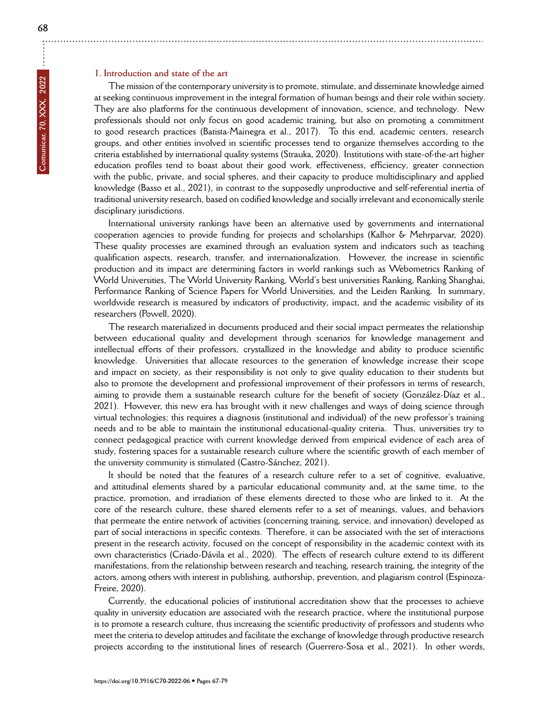# **1. Introduction and state of the art**

The mission of the contemporary university is to promote, stimulate, and disseminate knowledge aimed at seeking continuous improvement in the integral formation of human beings and their role within society. They are also platforms for the continuous development of innovation, science, and technology. New professionals should not only focus on good academic training, but also on promoting a commitment to good research practices (Batista-Mainegra et al., 2017). To this end, academic centers, research groups, and other entities involved in scientific processes tend to organize themselves according to the criteria established by international quality systems (Strauka, 2020). Institutions with state-of-the-art higher education profiles tend to boast about their good work, effectiveness, efficiency, greater connection with the public, private, and social spheres, and their capacity to produce multidisciplinary and applied knowledge (Basso et al., 2021), in contrast to the supposedly unproductive and self-referential inertia of traditional university research, based on codified knowledge and socially irrelevant and economically sterile disciplinary jurisdictions.

International university rankings have been an alternative used by governments and international cooperation agencies to provide funding for projects and scholarships (Kalhor & Mehrparvar, 2020). These quality processes are examined through an evaluation system and indicators such as teaching qualification aspects, research, transfer, and internationalization. However, the increase in scientific production and its impact are determining factors in world rankings such as Webometrics Ranking of World Universities, The World University Ranking, World's best universities Ranking, Ranking Shanghai, Performance Ranking of Science Papers for World Universities, and the Leiden Ranking. In summary, worldwide research is measured by indicators of productivity, impact, and the academic visibility of its researchers (Powell, 2020).

The research materialized in documents produced and their social impact permeates the relationship between educational quality and development through scenarios for knowledge management and intellectual efforts of their professors, crystallized in the knowledge and ability to produce scientific knowledge. Universities that allocate resources to the generation of knowledge increase their scope and impact on society, as their responsibility is not only to give quality education to their students but also to promote the development and professional improvement of their professors in terms of research, aiming to provide them a sustainable research culture for the benefit of society (González-Díaz et al., 2021). However, this new era has brought with it new challenges and ways of doing science through virtual technologies; this requires a diagnosis (institutional and individual) of the new professor's training needs and to be able to maintain the institutional educational-quality criteria. Thus, universities try to connect pedagogical practice with current knowledge derived from empirical evidence of each area of study, fostering spaces for a sustainable research culture where the scientific growth of each member of the university community is stimulated (Castro-Sánchez, 2021).

It should be noted that the features of a research culture refer to a set of cognitive, evaluative, and attitudinal elements shared by a particular educational community and, at the same time, to the practice, promotion, and irradiation of these elements directed to those who are linked to it. At the core of the research culture, these shared elements refer to a set of meanings, values, and behaviors that permeate the entire network of activities (concerning training, service, and innovation) developed as part of social interactions in specific contexts. Therefore, it can be associated with the set of interactions present in the research activity, focused on the concept of responsibility in the academic context with its own characteristics (Criado-Dávila et al., 2020). The effects of research culture extend to its different manifestations, from the relationship between research and teaching, research training, the integrity of the actors, among others with interest in publishing, authorship, prevention, and plagiarism control (Espinoza-Freire, 2020).

Currently, the educational policies of institutional accreditation show that the processes to achieve quality in university education are associated with the research practice, where the institutional purpose is to promote a research culture, thus increasing the scientific productivity of professors and students who meet the criteria to develop attitudes and facilitate the exchange of knowledge through productive research projects according to the institutional lines of research (Guerrero-Sosa et al., 2021). In other words,

 $\ddot{\cdot}$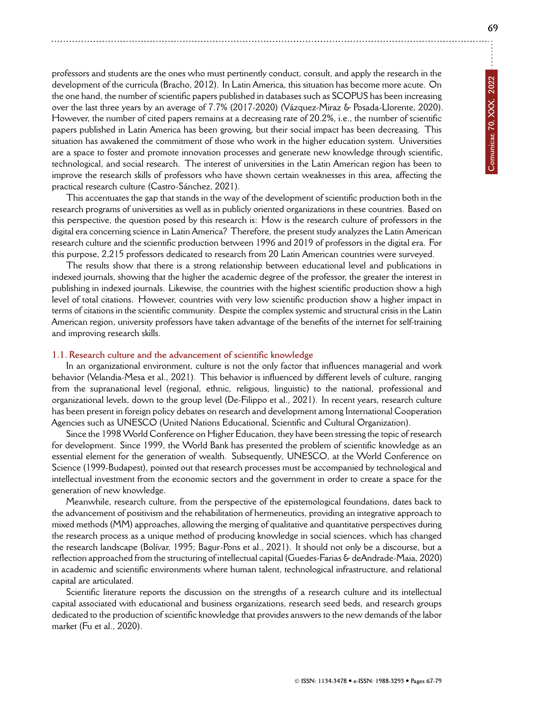**69**

professors and students are the ones who must pertinently conduct, consult, and apply the research in the development of the curricula (Bracho, 2012). In Latin America, this situation has become more acute. On the one hand, the number of scientific papers published in databases such as SCOPUS has been increasing over the last three years by an average of 7.7% (2017-2020) (Vázquez-Miraz & Posada-Llorente, 2020). However, the number of cited papers remains at a decreasing rate of 20.2%, i.e., the number of scientific papers published in Latin America has been growing, but their social impact has been decreasing. This situation has awakened the commitment of those who work in the higher education system. Universities are a space to foster and promote innovation processes and generate new knowledge through scientific, technological, and social research. The interest of universities in the Latin American region has been to improve the research skills of professors who have shown certain weaknesses in this area, affecting the practical research culture (Castro-Sánchez, 2021).

This accentuates the gap that stands in the way of the development of scientific production both in the research programs of universities as well as in publicly oriented organizations in these countries. Based on this perspective, the question posed by this research is: How is the research culture of professors in the digital era concerning science in Latin America? Therefore, the present study analyzes the Latin American research culture and the scientific production between 1996 and 2019 of professors in the digital era. For this purpose, 2,215 professors dedicated to research from 20 Latin American countries were surveyed.

The results show that there is a strong relationship between educational level and publications in indexed journals, showing that the higher the academic degree of the professor, the greater the interest in publishing in indexed journals. Likewise, the countries with the highest scientific production show a high level of total citations. However, countries with very low scientific production show a higher impact in terms of citations in the scientific community. Despite the complex systemic and structural crisis in the Latin American region, university professors have taken advantage of the benefits of the internet for self-training and improving research skills.

#### **1.1. Research culture and the advancement of scientific knowledge**

In an organizational environment, culture is not the only factor that influences managerial and work behavior (Velandia-Mesa et al., 2021). This behavior is influenced by different levels of culture, ranging from the supranational level (regional, ethnic, religious, linguistic) to the national, professional and organizational levels, down to the group level (De-Filippo et al., 2021). In recent years, research culture has been present in foreign policy debates on research and development among International Cooperation Agencies such as UNESCO (United Nations Educational, Scientific and Cultural Organization).

Since the 1998 World Conference on Higher Education, they have been stressing the topic of research for development. Since 1999, the World Bank has presented the problem of scientific knowledge as an essential element for the generation of wealth. Subsequently, UNESCO, at the World Conference on Science (1999-Budapest), pointed out that research processes must be accompanied by technological and intellectual investment from the economic sectors and the government in order to create a space for the generation of new knowledge.

Meanwhile, research culture, from the perspective of the epistemological foundations, dates back to the advancement of positivism and the rehabilitation of hermeneutics, providing an integrative approach to mixed methods (MM) approaches, allowing the merging of qualitative and quantitative perspectives during the research process as a unique method of producing knowledge in social sciences, which has changed the research landscape (Bolívar, 1995; Bagur-Pons et al., 2021). It should not only be a discourse, but a reflection approached from the structuring of intellectual capital (Guedes-Farias & deAndrade-Maia, 2020) in academic and scientific environments where human talent, technological infrastructure, and relational capital are articulated.

Scientific literature reports the discussion on the strengths of a research culture and its intellectual capital associated with educational and business organizations, research seed beds, and research groups dedicated to the production of scientific knowledge that provides answers to the new demands of the labor market (Fu et al., 2020).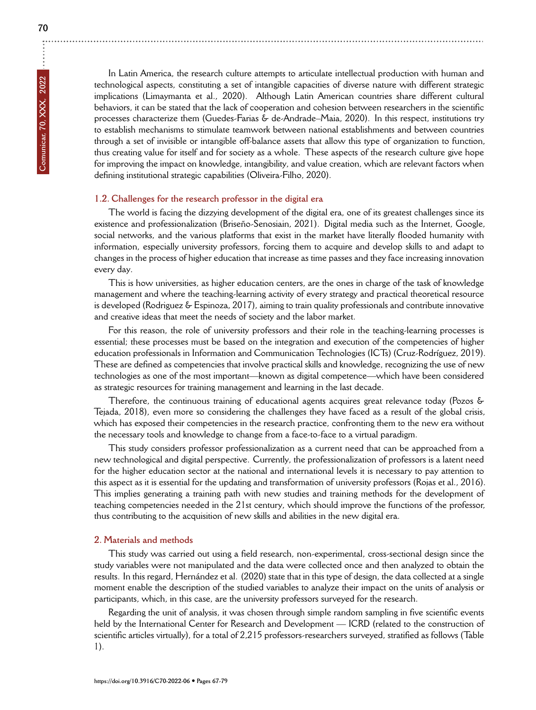In Latin America, the research culture attempts to articulate intellectual production with human and technological aspects, constituting a set of intangible capacities of diverse nature with different strategic implications (Limaymanta et al., 2020). Although Latin American countries share different cultural behaviors, it can be stated that the lack of cooperation and cohesion between researchers in the scientific processes characterize them (Guedes-Farias & de-Andrade–Maia, 2020). In this respect, institutions try to establish mechanisms to stimulate teamwork between national establishments and between countries through a set of invisible or intangible off-balance assets that allow this type of organization to function, thus creating value for itself and for society as a whole. These aspects of the research culture give hope for improving the impact on knowledge, intangibility, and value creation, which are relevant factors when defining institutional strategic capabilities (Oliveira-Filho, 2020).

# **1.2. Challenges for the research professor in the digital era**

The world is facing the dizzying development of the digital era, one of its greatest challenges since its existence and professionalization (Briseño-Senosiain, 2021). Digital media such as the Internet, Google, social networks, and the various platforms that exist in the market have literally flooded humanity with information, especially university professors, forcing them to acquire and develop skills to and adapt to changes in the process of higher education that increase as time passes and they face increasing innovation every day.

This is how universities, as higher education centers, are the ones in charge of the task of knowledge management and where the teaching-learning activity of every strategy and practical theoretical resource is developed (Rodriguez & Espinoza, 2017), aiming to train quality professionals and contribute innovative and creative ideas that meet the needs of society and the labor market.

For this reason, the role of university professors and their role in the teaching-learning processes is essential; these processes must be based on the integration and execution of the competencies of higher education professionals in Information and Communication Technologies (ICTs) (Cruz-Rodríguez, 2019). These are defined as competencies that involve practical skills and knowledge, recognizing the use of new technologies as one of the most important—known as digital competence—which have been considered as strategic resources for training management and learning in the last decade.

Therefore, the continuous training of educational agents acquires great relevance today (Pozos & Tejada, 2018), even more so considering the challenges they have faced as a result of the global crisis, which has exposed their competencies in the research practice, confronting them to the new era without the necessary tools and knowledge to change from a face-to-face to a virtual paradigm.

This study considers professor professionalization as a current need that can be approached from a new technological and digital perspective. Currently, the professionalization of professors is a latent need for the higher education sector at the national and international levels it is necessary to pay attention to this aspect as it is essential for the updating and transformation of university professors (Rojas et al., 2016). This implies generating a training path with new studies and training methods for the development of teaching competencies needed in the 21st century, which should improve the functions of the professor, thus contributing to the acquisition of new skills and abilities in the new digital era.

## **2. Materials and methods**

This study was carried out using a field research, non-experimental, cross-sectional design since the study variables were not manipulated and the data were collected once and then analyzed to obtain the results. In this regard, Hernández et al. (2020) state that in this type of design, the data collected at a single moment enable the description of the studied variables to analyze their impact on the units of analysis or participants, which, in this case, are the university professors surveyed for the research.

Regarding the unit of analysis, it was chosen through simple random sampling in five scientific events held by the International Center for Research and Development — ICRD (related to the construction of scientific articles virtually), for a total of 2,215 professors-researchers surveyed, stratified as follows (Table 1).

÷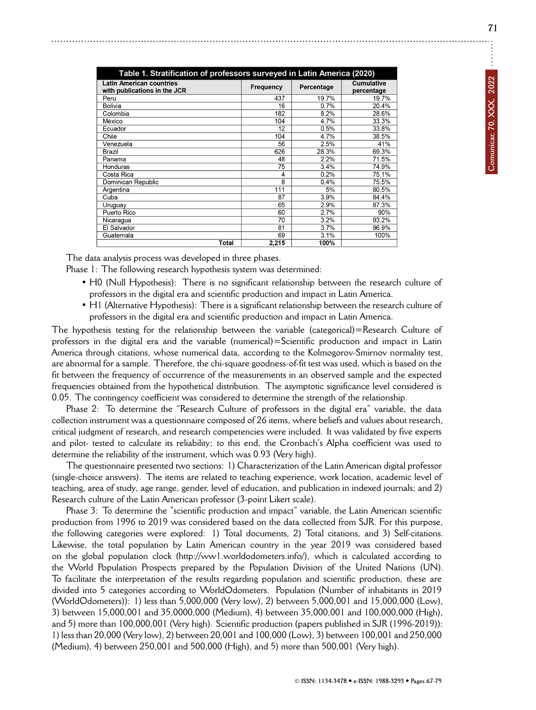| Table 1. Stratification of professors surveyed in Latin America (2020) |                |            |                                 |  |  |  |  |  |  |
|------------------------------------------------------------------------|----------------|------------|---------------------------------|--|--|--|--|--|--|
| <b>Latin American countries</b><br>with publications in the JCR        | Frequency      | Percentage | <b>Cumulative</b><br>percentage |  |  |  |  |  |  |
| Peru                                                                   | 437            | 19.7%      | 19.7%                           |  |  |  |  |  |  |
| Bolivia                                                                | 16             | 0.7%       | 20.4%                           |  |  |  |  |  |  |
| Colombia                                                               | 182            | 8.2%       | 28.6%                           |  |  |  |  |  |  |
| México                                                                 | 104            | 4.7%       | 33.3%                           |  |  |  |  |  |  |
| Ecuador                                                                | 12             | 0.5%       | 33.8%                           |  |  |  |  |  |  |
| Chile                                                                  | 104            | 4.7%       | 38.5%                           |  |  |  |  |  |  |
| Venezuela                                                              | 56             | 2.5%       | 41%                             |  |  |  |  |  |  |
| Brazil                                                                 | 626            | 28.3%      | 69.3%                           |  |  |  |  |  |  |
| Panama                                                                 | 48             | 2.2%       | 71.5%                           |  |  |  |  |  |  |
| Honduras                                                               | 75             | 3.4%       | 74.9%                           |  |  |  |  |  |  |
| Costa Rica                                                             | $\overline{4}$ | 0.2%       | 75.1%                           |  |  |  |  |  |  |
| Dominican Republic                                                     | 8              | 0.4%       | 75.5%                           |  |  |  |  |  |  |
| Argentina                                                              | 111            | 5%         | 80.5%                           |  |  |  |  |  |  |
| Cuba                                                                   | 87             | 3.9%       | 84.4%                           |  |  |  |  |  |  |
| Uruguay                                                                | 65             | 2.9%       | 87.3%                           |  |  |  |  |  |  |
| Puerto Rico                                                            | 60             | 2.7%       | 90%                             |  |  |  |  |  |  |
| Nicaragua                                                              | 70             | 3.2%       | 93.2%                           |  |  |  |  |  |  |
| El Salvador                                                            | 81             | 3.7%       | 96.9%                           |  |  |  |  |  |  |
| Guatemala                                                              | 69             | 3.1%       | 100%                            |  |  |  |  |  |  |
| Total                                                                  | 2,215          | 100%       |                                 |  |  |  |  |  |  |

The data analysis process was developed in three phases.

Phase 1: The following research hypothesis system was determined:

- H0 (Null Hypothesis): There is no significant relationship between the research culture of professors in the digital era and scientific production and impact in Latin America.
- H1 (Alternative Hypothesis): There is a significant relationship between the research culture of professors in the digital era and scientific production and impact in Latin America.

The hypothesis testing for the relationship between the variable (categorical)=Research Culture of professors in the digital era and the variable (numerical)=Scientific production and impact in Latin America through citations, whose numerical data, according to the Kolmogorov-Smirnov normality test, are abnormal for a sample. Therefore, the chi-square goodness-of-fit test was used, which is based on the fit between the frequency of occurrence of the measurements in an observed sample and the expected frequencies obtained from the hypothetical distribution. The asymptotic significance level considered is 0.05. The contingency coefficient was considered to determine the strength of the relationship.

Phase 2: To determine the "Research Culture of professors in the digital era" variable, the data collection instrument was a questionnaire composed of 26 items, where beliefs and values about research, critical judgment of research, and research competencies were included. It was validated by five experts and pilot- tested to calculate its reliability; to this end, the Cronbach's Alpha coefficient was used to determine the reliability of the instrument, which was 0.93 (Very high).

The questionnaire presented two sections: 1) Characterization of the Latin American digital professor (single-choice answers). The items are related to teaching experience, work location, academic level of teaching, area of study, age range, gender, level of education, and publication in indexed journals; and 2) Research culture of the Latin American professor (3-point Likert scale).

Phase 3: To determine the "scientific production and impact" variable, the Latin American scientific production from 1996 to 2019 was considered based on the data collected from SJR. For this purpose, the following categories were explored: 1) Total documents, 2) Total citations, and 3) Self-citations. Likewise, the total population by Latin American country in the year 2019 was considered based on the global population clock (http://ww1.worldodometers.info/), which is calculated according to the World Population Prospects prepared by the Population Division of the United Nations (UN). To facilitate the interpretation of the results regarding population and scientific production, these are divided into 5 categories according to WorldOdometers. Population (Number of inhabitants in 2019 (WorldOdometers)): 1) less than 5,000,000 (Very low), 2) between 5,000,001 and 15,000,000 (Low), 3) between 15,000,001 and 35,0000,000 (Medium), 4) between 35,000,001 and 100,000,000 (High), and 5) more than 100,000,001 (Very high). Scientific production (papers published in SJR (1996-2019)): 1) less than 20,000 (Very low), 2) between 20,001 and 100,000 (Low), 3) between 100,001 and 250,000 (Medium), 4) between 250,001 and 500,000 (High), and 5) more than 500,001 (Very high).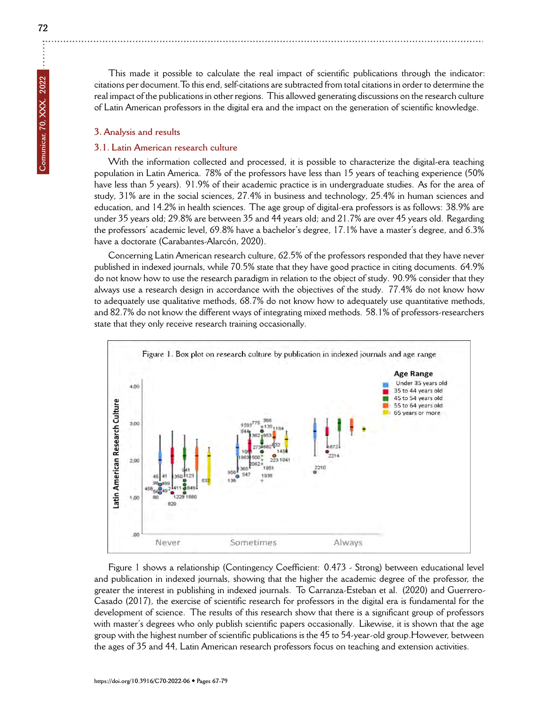# **3. Analysis and results**

# **3.1. Latin American research culture**

With the information collected and processed, it is possible to characterize the digital-era teaching population in Latin America. 78% of the professors have less than 15 years of teaching experience (50% have less than 5 years). 91.9% of their academic practice is in undergraduate studies. As for the area of study, 31% are in the social sciences, 27.4% in business and technology, 25.4% in human sciences and education, and 14.2% in health sciences. The age group of digital-era professors is as follows: 38.9% are under 35 years old; 29.8% are between 35 and 44 years old; and 21.7% are over 45 years old. Regarding the professors' academic level, 69.8% have a bachelor's degree, 17.1% have a master's degree, and 6.3% have a doctorate (Carabantes-Alarcón, 2020).

Concerning Latin American research culture, 62.5% of the professors responded that they have never published in indexed journals, while 70.5% state that they have good practice in citing documents. 64.9% do not know how to use the research paradigm in relation to the object of study. 90.9% consider that they always use a research design in accordance with the objectives of the study. 77.4% do not know how to adequately use qualitative methods, 68.7% do not know how to adequately use quantitative methods, and 82.7% do not know the different ways of integrating mixed methods. 58.1% of professors-researchers state that they only receive research training occasionally.



Figure 1 shows a relationship (Contingency Coefficient: 0.473 - Strong) between educational level and publication in indexed journals, showing that the higher the academic degree of the professor, the greater the interest in publishing in indexed journals. To Carranza-Esteban et al. (2020) and Guerrero-Casado (2017), the exercise of scientific research for professors in the digital era is fundamental for the development of science. The results of this research show that there is a significant group of professors with master's degrees who only publish scientific papers occasionally. Likewise, it is shown that the age group with the highest number of scientific publications is the 45 to 54-year-old group.However, between the ages of 35 and 44, Latin American research professors focus on teaching and extension activities.

**Comunicar, 70, XXX, 2022**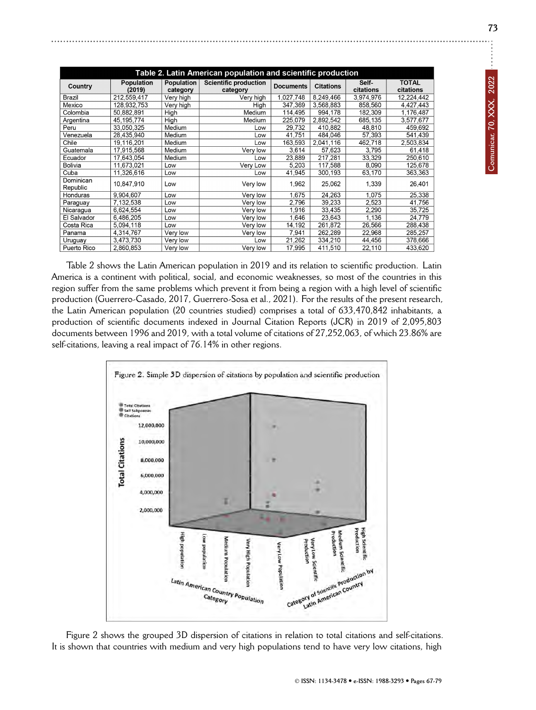| č<br>វ                   |
|--------------------------|
| ξ<br>$\frac{1}{2}$<br>٠, |
| į                        |
|                          |

| Table 2. Latin American population and scientific production |                             |                        |                                          |                  |                  |                    |                           |  |  |
|--------------------------------------------------------------|-----------------------------|------------------------|------------------------------------------|------------------|------------------|--------------------|---------------------------|--|--|
| Country                                                      | <b>Population</b><br>(2019) | Population<br>category | <b>Scientific production</b><br>category | <b>Documents</b> | <b>Citations</b> | Self-<br>citations | <b>TOTAL</b><br>citations |  |  |
| Brazil                                                       | 212,559,417                 | Very high              | Very high                                | 1,027,748        | 8,249,466        | 3,974,976          | 12,224,442                |  |  |
| Mexico                                                       | 128,932,753                 | Very high              | High                                     | 347.369          | 3,568,883        | 858,560            | 4,427,443                 |  |  |
| Colombia                                                     | 50,882,891                  | High                   | Medium                                   | 114,495          | 994,178          | 182,309            | 1,176,487                 |  |  |
| Argentina                                                    | 45,195,774                  | High                   | Medium                                   | 225,079          | 2,892,542        | 685,135            | 3,577,677                 |  |  |
| Peru                                                         | 33,050,325                  | Medium                 | Low                                      | 29,732           | 410,882          | 48,810             | 459,692                   |  |  |
| Venezuela                                                    | 28,435,940                  | Medium                 | Low                                      | 41,751           | 484,046          | 57,393             | 541,439                   |  |  |
| Chile                                                        | 19.116.201                  | Medium                 | Low                                      | 163.593          | 2.041.116        | 462.718            | 2,503,834                 |  |  |
| Guatemala                                                    | 17,915,568                  | Medium                 | Very low                                 | 3,614            | 57.623           | 3.795              | 61,418                    |  |  |
| Ecuador                                                      | 17,643,054                  | Medium                 | Low                                      | 23,889           | 217,281          | 33,329             | 250,610                   |  |  |
| <b>Bolivia</b>                                               | 11,673,021                  | Low                    | Very Low                                 | 5,203            | 117,588          | 8,090              | 125,678                   |  |  |
| Cuba                                                         | 11,326,616                  | Low                    | Low                                      | 41,945           | 300,193          | 63,170             | 363,363                   |  |  |
| Dominican<br>Republic                                        | 10.847.910                  | Low                    | Very low                                 | 1.962            | 25.062           | 1.339              | 26.401                    |  |  |
| Honduras                                                     | 9,904,607                   | Low                    | Very low                                 | 1,675            | 24,263           | 1,075              | 25,338                    |  |  |
| Paraguay                                                     | 7,132,538                   | Low                    | Very low                                 | 2,796            | 39,233           | 2,523              | 41,756                    |  |  |
| Nicaragua                                                    | 6,624,554                   | Low                    | Very low                                 | 1,916            | 33,435           | 2,290              | 35,725                    |  |  |
| El Salvador                                                  | 6.486.205                   | Low                    | Very low                                 | 1.646            | 23,643           | 1.136              | 24,779                    |  |  |
| Costa Rica                                                   | 5.094.118                   | Low                    | Very low                                 | 14,192           | 261.872          | 26.566             | 288,438                   |  |  |
| Panama                                                       | 4,314,767                   | Very low               | Very low                                 | 7,941            | 262,289          | 22,968             | 285,257                   |  |  |
| Uruguay                                                      | 3,473,730                   | Very low               | Low                                      | 21,262           | 334,210          | 44,456             | 378,666                   |  |  |
| Puerto Rico                                                  | 2.860.853                   | Very low               | Very low                                 | 17,995           | 411.510          | 22,110             | 433,620                   |  |  |

Table 2 shows the Latin American population in 2019 and its relation to scientific production. Latin America is a continent with political, social, and economic weaknesses, so most of the countries in this region suffer from the same problems which prevent it from being a region with a high level of scientific production (Guerrero-Casado, 2017, Guerrero-Sosa et al., 2021). For the results of the present research, the Latin American population (20 countries studied) comprises a total of 633,470,842 inhabitants, a production of scientific documents indexed in Journal Citation Reports (JCR) in 2019 of 2,095,803 documents between 1996 and 2019, with a total volume of citations of 27,252,063, of which 23.86% are self-citations, leaving a real impact of 76.14% in other regions.



Figure 2 shows the grouped 3D dispersion of citations in relation to total citations and self-citations. It is shown that countries with medium and very high populations tend to have very low citations, high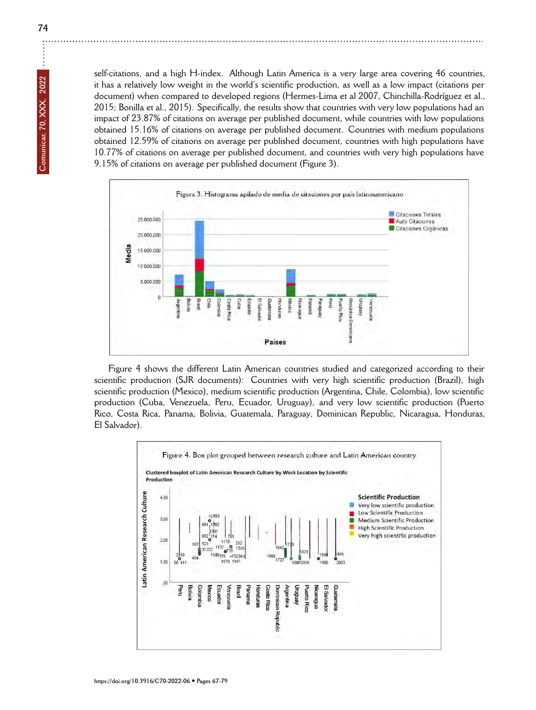self-citations, and a high H-index. Although Latin America is a very large area covering 46 countries, it has a relatively low weight in the world's scientific production, as well as a low impact (citations per document) when compared to developed regions (Hermes-Lima et al 2007, Chinchilla-Rodríguez et al., 2015; Bonilla et al., 2015). Specifically, the results show that countries with very low populations had an impact of 23.87% of citations on average per published document, while countries with low populations obtained 15.16% of citations on average per published document. Countries with medium populations obtained 12.59% of citations on average per published document, countries with high populations have 10.77% of citations on average per published document, and countries with very high populations have 9.15% of citations on average per published document (Figure 3).



Figure 4 shows the different Latin American countries studied and categorized according to their scientific production (SJR documents): Countries with very high scientific production (Brazil), high scientific production (Mexico), medium scientific production (Argentina, Chile, Colombia), low scientific production (Cuba, Venezuela, Peru, Ecuador, Uruguay), and very low scientific production (Puerto Rico, Costa Rica, Panama, Bolivia, Guatemala, Paraguay, Dominican Republic, Nicaragua, Honduras, El Salvador).



**74**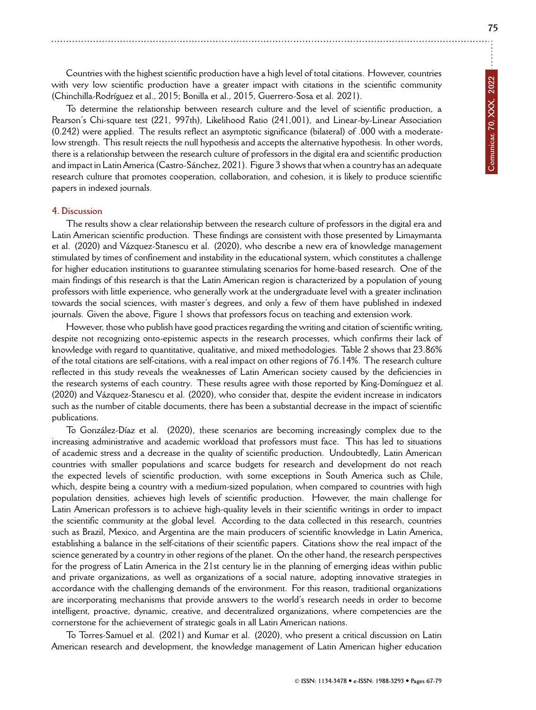Countries with the highest scientific production have a high level of total citations. However, countries with very low scientific production have a greater impact with citations in the scientific community

(Chinchilla-Rodríguez et al., 2015; Bonilla et al., 2015, Guerrero-Sosa et al. 2021).

To determine the relationship between research culture and the level of scientific production, a Pearson's Chi-square test (221, 997th), Likelihood Ratio (241,001), and Linear-by-Linear Association (0.242) were applied. The results reflect an asymptotic significance (bilateral) of .000 with a moderatelow strength. This result rejects the null hypothesis and accepts the alternative hypothesis. In other words, there is a relationship between the research culture of professors in the digital era and scientific production and impact in Latin America (Castro-Sánchez, 2021). Figure 3 shows that when a country has an adequate research culture that promotes cooperation, collaboration, and cohesion, it is likely to produce scientific papers in indexed journals.

#### **4. Discussion**

The results show a clear relationship between the research culture of professors in the digital era and Latin American scientific production. These findings are consistent with those presented by Limaymanta et al. (2020) and Vázquez-Stanescu et al. (2020), who describe a new era of knowledge management stimulated by times of confinement and instability in the educational system, which constitutes a challenge for higher education institutions to guarantee stimulating scenarios for home-based research. One of the main findings of this research is that the Latin American region is characterized by a population of young professors with little experience, who generally work at the undergraduate level with a greater inclination towards the social sciences, with master's degrees, and only a few of them have published in indexed journals. Given the above, Figure 1 shows that professors focus on teaching and extension work.

However, those who publish have good practices regarding the writing and citation of scientific writing, despite not recognizing onto-epistemic aspects in the research processes, which confirms their lack of knowledge with regard to quantitative, qualitative, and mixed methodologies. Table 2 shows that 23.86% of the total citations are self-citations, with a real impact on other regions of 76.14%. The research culture reflected in this study reveals the weaknesses of Latin American society caused by the deficiencies in the research systems of each country. These results agree with those reported by King-Domínguez et al. (2020) and Vázquez-Stanescu et al. (2020), who consider that, despite the evident increase in indicators such as the number of citable documents, there has been a substantial decrease in the impact of scientific publications.

To González-Díaz et al. (2020), these scenarios are becoming increasingly complex due to the increasing administrative and academic workload that professors must face. This has led to situations of academic stress and a decrease in the quality of scientific production. Undoubtedly, Latin American countries with smaller populations and scarce budgets for research and development do not reach the expected levels of scientific production, with some exceptions in South America such as Chile, which, despite being a country with a medium-sized population, when compared to countries with high population densities, achieves high levels of scientific production. However, the main challenge for Latin American professors is to achieve high-quality levels in their scientific writings in order to impact the scientific community at the global level. According to the data collected in this research, countries such as Brazil, Mexico, and Argentina are the main producers of scientific knowledge in Latin America, establishing a balance in the self-citations of their scientific papers. Citations show the real impact of the science generated by a country in other regions of the planet. On the other hand, the research perspectives for the progress of Latin America in the 21st century lie in the planning of emerging ideas within public and private organizations, as well as organizations of a social nature, adopting innovative strategies in accordance with the challenging demands of the environment. For this reason, traditional organizations are incorporating mechanisms that provide answers to the world's research needs in order to become intelligent, proactive, dynamic, creative, and decentralized organizations, where competencies are the cornerstone for the achievement of strategic goals in all Latin American nations.

To Torres-Samuel et al. (2021) and Kumar et al. (2020), who present a critical discussion on Latin American research and development, the knowledge management of Latin American higher education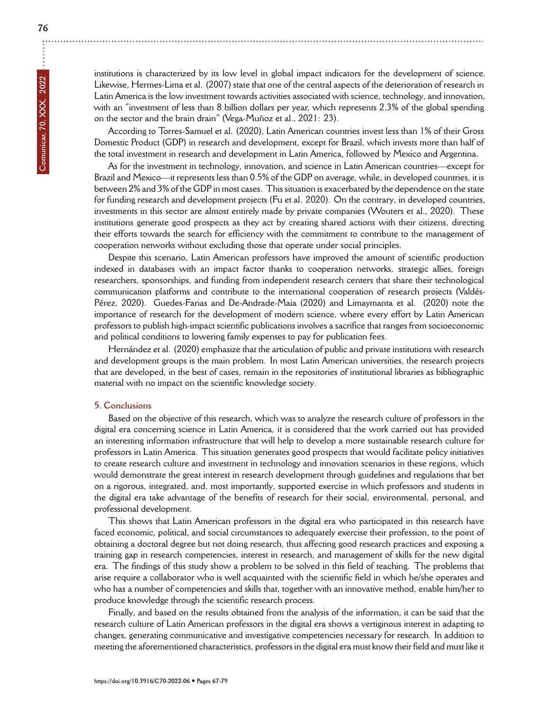According to Torres-Samuel et al. (2020), Latin American countries invest less than 1% of their Gross Domestic Product (GDP) in research and development, except for Brazil, which invests more than half of the total investment in research and development in Latin America, followed by Mexico and Argentina.

As for the investment in technology, innovation, and science in Latin American countries—except for Brazil and Mexico—it represents less than 0.5% of the GDP on average, while, in developed countries, it is between 2% and 3% of the GDP in most cases. This situation is exacerbated by the dependence on the state for funding research and development projects (Fu et al. 2020). On the contrary, in developed countries, investments in this sector are almost entirely made by private companies (Wouters et al., 2020). These institutions generate good prospects as they act by creating shared actions with their citizens, directing their efforts towards the search for efficiency with the commitment to contribute to the management of cooperation networks without excluding those that operate under social principles.

Despite this scenario, Latin American professors have improved the amount of scientific production indexed in databases with an impact factor thanks to cooperation networks, strategic allies, foreign researchers, sponsorships, and funding from independent research centers that share their technological communication platforms and contribute to the international cooperation of research projects (Valdés-Pérez, 2020). Guedes-Farias and De-Andrade-Maia (2020) and Limaymanta et al. (2020) note the importance of research for the development of modern science, where every effort by Latin American professors to publish high-impact scientific publications involves a sacrifice that ranges from socioeconomic and political conditions to lowering family expenses to pay for publication fees.

Hernández et al. (2020) emphasize that the articulation of public and private institutions with research and development groups is the main problem. In most Latin American universities, the research projects that are developed, in the best of cases, remain in the repositories of institutional libraries as bibliographic material with no impact on the scientific knowledge society.

# **5. Conclusions**

Based on the objective of this research, which was to analyze the research culture of professors in the digital era concerning science in Latin America, it is considered that the work carried out has provided an interesting information infrastructure that will help to develop a more sustainable research culture for professors in Latin America. This situation generates good prospects that would facilitate policy initiatives to create research culture and investment in technology and innovation scenarios in these regions, which would demonstrate the great interest in research development through guidelines and regulations that bet on a rigorous, integrated, and, most importantly, supported exercise in which professors and students in the digital era take advantage of the benefits of research for their social, environmental, personal, and professional development.

This shows that Latin American professors in the digital era who participated in this research have faced economic, political, and social circumstances to adequately exercise their profession, to the point of obtaining a doctoral degree but not doing research, thus affecting good research practices and exposing a training gap in research competencies, interest in research, and management of skills for the new digital era. The findings of this study show a problem to be solved in this field of teaching. The problems that arise require a collaborator who is well acquainted with the scientific field in which he/she operates and who has a number of competencies and skills that, together with an innovative method, enable him/her to produce knowledge through the scientific research process.

Finally, and based on the results obtained from the analysis of the information, it can be said that the research culture of Latin American professors in the digital era shows a vertiginous interest in adapting to changes, generating communicative and investigative competencies necessary for research. In addition to meeting the aforementioned characteristics, professors in the digital era must know their field and must like it

÷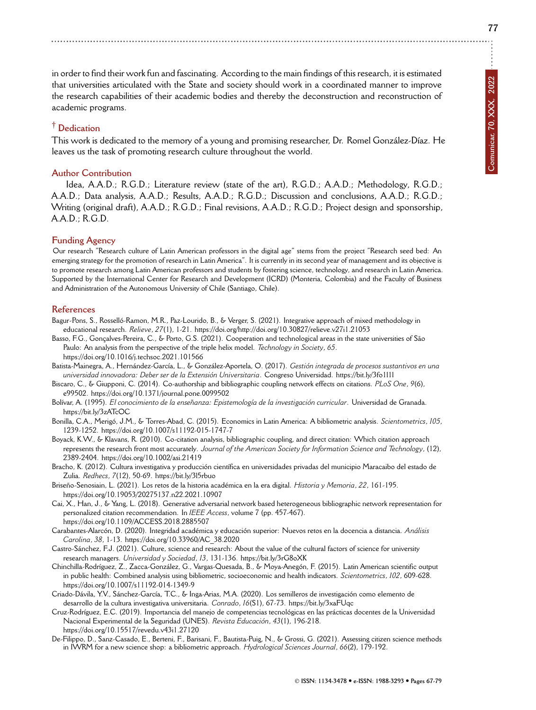in order to find their work fun and fascinating. According to the main findings of this research, it is estimated that universities articulated with the State and society should work in a coordinated manner to improve the research capabilities of their academic bodies and thereby the deconstruction and reconstruction of academic programs.

# **† Dedication**

This work is dedicated to the memory of a young and promising researcher, Dr. Romel González-Díaz. He leaves us the task of promoting research culture throughout the world.

#### **Author Contribution**

Idea, A.A.D.; R.G.D.; Literature review (state of the art), R.G.D.; A.A.D.; Methodology, R.G.D.; A.A.D.; Data analysis, A.A.D.; Results, A.A.D.; R.G.D.; Discussion and conclusions, A.A.D.; R.G.D.; Writing (original draft), A.A.D.; R.G.D.; Final revisions, A.A.D.; R.G.D.; Project design and sponsorship, A.A.D.; R.G.D.

## **Funding Agency**

Our research "Research culture of Latin American professors in the digital age" stems from the project "Research seed bed: An emerging strategy for the promotion of research in Latin America". It is currently in its second year of management and its objective is to promote research among Latin American professors and students by fostering science, technology, and research in Latin America. Supported by the International Center for Research and Development (ICRD) (Monteria, Colombia) and the Faculty of Business and Administration of the Autonomous University of Chile (Santiago, Chile).

#### **References**

- Bagur-Pons, S., Rosselló-Ramon, M.R., Paz-Lourido, B., & Verger, S. (2021). Integrative approach of mixed methodology in educational research. *Relieve*, *27*(1), 1-21. <https://doi.org/http://doi.org/10.30827/relieve.v27i1.21053>
- Basso, F.G., Gonçalves-Pereira, C., & Porto, G.S. (2021). Cooperation and technological areas in the state universities of São Paulo: An analysis from the perspective of the triple helix model. *Technology in Society*, *65*. <https://doi.org/10.1016/j.techsoc.2021.101566>
- Batista-Mainegra, A., Hernández-García, L., & González-Aportela, O. (2017). *Gestión integrada de procesos sustantivos en una universidad innovadora: Deber ser de la Extensión Universitaria*. Congreso Universidad. <https://bit.ly/3fo1l1l>
- Biscaro, C., & Giupponi, C. (2014). Co-authorship and bibliographic coupling network effects on citations. *PLoS One*, *9*(6), e99502. <https://doi.org/10.1371/journal.pone.0099502>
- Bolívar, A. (1995). *El conocimiento de la enseñanza: Epistemología de la investigación curricular*. Universidad de Granada. <https://bit.ly/3zATcOC>
- Bonilla, C.A., Merigó, J.M., & Torres-Abad, C. (2015). Economics in Latin America: A bibliometric analysis. *Scientometrics*, *105*, 1239-1252. <https://doi.org/10.1007/s11192-015-1747-7>
- Boyack, K.W., & Klavans, R. (2010). Co-citation analysis, bibliographic coupling, and direct citation: Which citation approach represents the research front most accurately. *Journal of the American Society for Information Science and Technology*, (12), 2389-2404. <https://doi.org/10.1002/asi.21419>
- Bracho, K. (2012). Cultura investigativa y producción científica en universidades privadas del municipio Maracaibo del estado de Zulia. *Redhecs*, *7*(12), 50-69. <https://bit.ly/3l5rbuo>

Briseño-Senosiain, L. (2021). Los retos de la historia académica en la era digital. *Historia y Memoria*, *22*, 161-195. <https://doi.org/10.19053/20275137.n22.2021.10907>

- Cai, X., Han, J., & Yang, L. (2018). Generative adversarial network based heterogeneous bibliographic network representation for personalized citation recommendation. In *IEEE Access*, volume 7 (pp. 457-467). <https://doi.org/10.1109/ACCESS.2018.2885507>
- Carabantes-Alarcón, D. (2020). Integridad académica y educación superior: Nuevos retos en la docencia a distancia. *Análisis Carolina*, *38*, 1-13. [https://doi.org/10.33960/AC\\_38.2020](https://doi.org/10.33960/AC_38.2020)
- Castro-Sánchez, F.J. (2021). Culture, science and research: About the value of the cultural factors of science for university research managers. *Universidad y Sociedad*, *13*, 131-136. <https://bit.ly/3rG8oXK>
- Chinchilla-Rodríguez, Z., Zacca-González, G., Vargas-Quesada, B., & Moya-Anegón, F. (2015). Latin American scientific output in public health: Combined analysis using bibliometric, socioeconomic and health indicators. *Scientometrics*, *102*, 609-628. <https://doi.org/10.1007/s11192-014-1349-9>
- Criado-Dávila, Y.V., Sánchez-García, T.C., & Inga-Arias, M.A. (2020). Los semilleros de investigación como elemento de desarrollo de la cultura investigativa universitaria. *Conrado*, *16*(S1), 67-73. <https://bit.ly/3xaFUqc>
- Cruz-Rodríguez, E.C. (2019). Importancia del manejo de competencias tecnológicas en las prácticas docentes de la Universidad Nacional Experimental de la Seguridad (UNES). *Revista Educación*, *43*(1), 196-218. <https://doi.org/10.15517/revedu.v43i1.27120>
- De-Filippo, D., Sanz-Casado, E., Berteni, F., Barisani, F., Bautista-Puig, N., & Grossi, G. (2021). Assessing citizen science methods in IWRM for a new science shop: a bibliometric approach. *Hydrological Sciences Journal*, *66*(2), 179-192.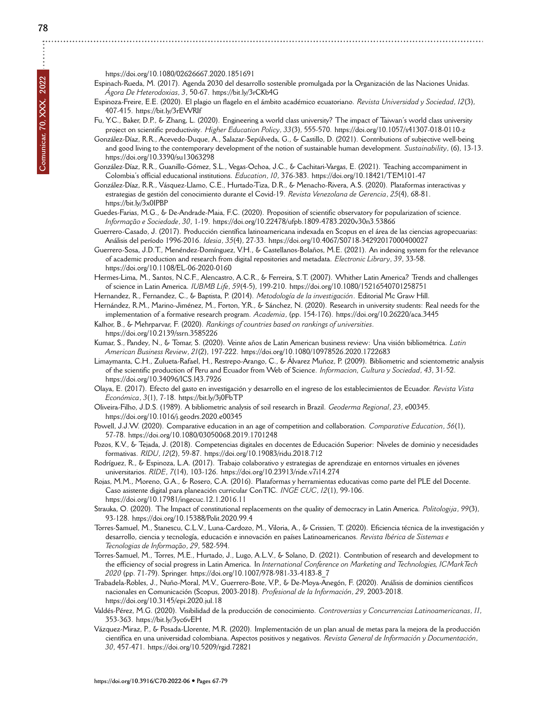<https://doi.org/10.1080/02626667.2020.1851691>

Espinach-Rueda, M. (2017). Agenda 2030 del desarrollo sostenible promulgada por la Organización de las Naciones Unidas. *Ágora De Heterodoxias*, *3*, 50-67.<https://bit.ly/3rCKb4G>

- Espinoza-Freire, E.E. (2020). El plagio un flagelo en el ámbito académico ecuatoriano. *Revista Universidad y Sociedad*, *12*(3), 407-415.<https://bit.ly/3rEWRIf>
- Fu, Y.C., Baker, D.P., & Zhang, L. (2020). Engineering a world class university? The impact of Taiwan's world class university project on scientific productivity. *Higher Education Policy*, *33*(3), 555-570.<https://doi.org/10.1057/s41307-018-0110-z>
- González-Díaz, R.R., Acevedo-Duque, A., Salazar-Sepúlveda, G., & Castillo, D. (2021). Contributions of subjective well-being and good living to the contemporary development of the notion of sustainable human development. *Sustainability*, (6), 13-13. <https://doi.org/10.3390/su13063298>
- González-Díaz, R.R., Guanillo-Gómez, S.L., Vegas-Ochoa, J.C., & Cachitari-Vargas, E. (2021). Teaching accompaniment in Colombia's official educational institutions. *Education*, *10*, 376-383.<https://doi.org/10.18421/TEM101-47>
- González-Díaz, R.R., Vásquez-Llamo, C.E., Hurtado-Tiza, D.R., & Menacho-Rivera, A.S. (2020). Plataformas interactivas y estrategias de gestión del conocimiento durante el Covid-19. *Revista Venezolana de Gerencia*, *25*(4), 68-81. <https://bit.ly/3x0IPBP>
- Guedes-Farias, M.G., & De-Andrade-Maia, F.C. (2020). Proposition of scientific observatory for popularization of science. *Informação e Sociedade*, *30*, 1-19.<https://doi.org/10.22478/ufpb.1809-4783.2020v30n3.53866>
- Guerrero-Casado, J. (2017). Producción científica latinoamericana indexada en Scopus en el área de las ciencias agropecuarias: Análisis del período 1996-2016. *Idesia*, *35*(4), 27-33.<https://doi.org/10.4067/S0718-34292017000400027>
- Guerrero-Sosa, J.D.T., Menéndez-Domínguez, V.H., & Castellanos-Bolaños, M.E. (2021). An indexing system for the relevance of academic production and research from digital repositories and metadata. *Electronic Library*, *39*, 33-58. <https://doi.org/10.1108/EL-06-2020-0160>
- Hermes-Lima, M., Santos, N.C.F., Alencastro, A.C.R., & Ferreira, S.T. (2007). Whither Latin America? Trends and challenges of science in Latin America. *IUBMB Life*, *59*(4-5), 199-210.<https://doi.org/10.1080/15216540701258751>
- Hernandez, R., Fernandez, C., & Baptista, P. (2014). *Metodología de la investigación*. Editorial Mc Graw Hill.
- Hernández, R.M., Marino-Jiménez, M., Forton, Y.R., & Sánchez, N. (2020). Research in university students: Real needs for the implementation of a formative research program. *Academia*, (pp. 154-176).<https://doi.org/10.26220/aca.3445>
- Kalhor, B., & Mehrparvar, F. (2020). *Rankings of countries based on rankings of universities*. <https://doi.org/10.2139/ssrn.3585226>
- Kumar, S., Pandey, N., & Tomar, S. (2020). Veinte años de Latin American business review: Una visión bibliométrica. *Latin American Business Review*, *21*(2), 197-222.<https://doi.org/10.1080/10978526.2020.1722683>
- Limaymanta, C.H., Zulueta-Rafael, H., Restrepo-Arango, C., & Álvarez Muñoz, P. (2009). Bibliometric and scientometric analysis of the scientific production of Peru and Ecuador from Web of Science. *Informacion, Cultura y Sociedad*, *43*, 31-52. <https://doi.org/10.34096/ICS.I43.7926>
- Olaya, E. (2017). Efecto del gasto en investigación y desarrollo en el ingreso de los establecimientos de Ecuador. *Revista Vista Económica*, *3*(1), 7-18.<https://bit.ly/3j0FbTP>
- Oliveira-Filho, J.D.S. (1989). A bibliometric analysis of soil research in Brazil. *Geoderma Regional*, *23*, e00345. <https://doi.org/10.1016/j.geodrs.2020.e00345>
- Powell, J.J.W. (2020). Comparative education in an age of competition and collaboration. *Comparative Education*, *56*(1), 57-78.<https://doi.org/10.1080/03050068.2019.1701248>
- Pozos, K.V., & Tejada, J. (2018). Competencias digitales en docentes de Educación Superior: Niveles de dominio y necesidades formativas. *RIDU*, *12*(2), 59-87.<https://doi.org/10.19083/ridu.2018.712>
- Rodríguez, R., & Espinoza, L.A. (2017). Trabajo colaborativo y estrategias de aprendizaje en entornos virtuales en jóvenes universitarios. *RIDE*, *7*(14), 103-126.<https://doi.org/10.23913/ride.v7i14.274>
- Rojas, M.M., Moreno, G.A., & Rosero, C.A. (2016). Plataformas y herramientas educativas como parte del PLE del Docente. Caso asistente digital para planeación curricular ConTIC. *INGE CUC*, *12*(1), 99-106. <https://doi.org/10.17981/ingecuc.12.1.2016.11>
- Strauka, O. (2020). The Impact of constitutional replacements on the quality of democracy in Latin America. *Politologija*, *99*(3), 93-128.<https://doi.org/10.15388/Polit.2020.99.4>
- Torres-Samuel, M., Stanescu, C.L.V., Luna-Cardozo, M., Viloria, A., & Crissien, T. (2020). Eficiencia técnica de la investigación y desarrollo, ciencia y tecnología, educación e innovación en países Latinoamericanos. *Revista Ibérica de Sistemas e Tecnologias de Informação*, *29*, 582-594.
- Torres-Samuel, M., Torres, M.E., Hurtado, J., Lugo, A.L.V., & Solano, D. (2021). Contribution of research and development to the efficiency of social progress in Latin America. In *International Conference on Marketing and Technologies, ICMarkTech 2020* (pp. 71-79). Springer. [https://doi.org/10.1007/978-981-33-4183-8\\_7](https://doi.org/10.1007/978-981-33-4183-8_7)
- Trabadela-Robles, J., Nuño-Moral, M.V., Guerrero-Bote, V.P., & De-Moya-Anegón, F. (2020). Análisis de dominios científicos nacionales en Comunicación (Scopus, 2003-2018). *Profesional de la Información*, *29*, 2003-2018. <https://doi.org/10.3145/epi.2020.jul.18>
- Valdés-Pérez, M.G. (2020). Visibilidad de la producción de conocimiento. *Controversias y Concurrencias Latinoamericanas*, *11*, 353-363.<https://bit.ly/3yc6vEH>
- Vázquez-Miraz, P., & Posada-Llorente, M.R. (2020). Implementación de un plan anual de metas para la mejora de la producción científica en una universidad colombiana. Aspectos positivos y negativos. *Revista General de Información y Documentación*, *30*, 457-471.<https://doi.org/10.5209/rgid.72821>